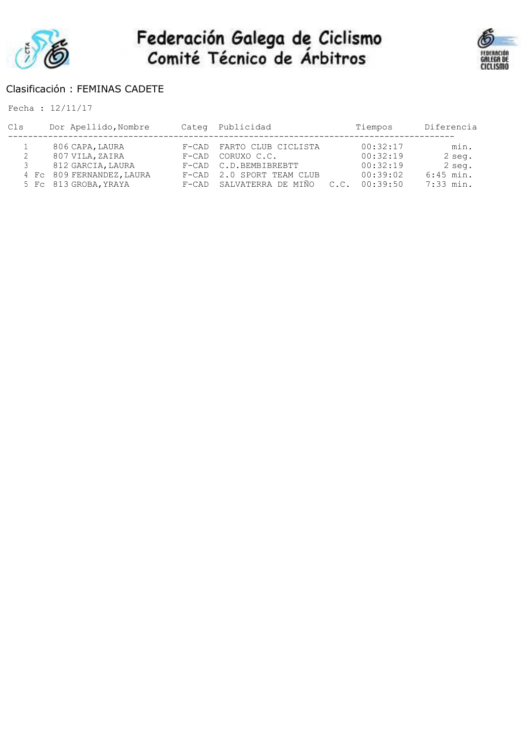



### Clasificación : FEMINAS CADETE

| Cls | Dor Apellido, Nombre      | Categ Publicidad          |      | Tiempos  | Diferencia  |
|-----|---------------------------|---------------------------|------|----------|-------------|
|     | 806 CAPA, LAURA           | F-CAD FARTO CLUB CICLISTA |      | 00:32:17 | min.        |
|     | 807 VILA, ZAIRA           | F-CAD CORUXO C.C.         |      | 00:32:19 | 2 seg.      |
|     | 812 GARCIA, LAURA         | F-CAD C.D.BEMBIBREBTT     |      | 00:32:19 | 2 seg.      |
|     | 4 Fc 809 FERNANDEZ, LAURA | F-CAD 2.0 SPORT TEAM CLUB |      | 00:39:02 | $6:45$ min. |
|     | 5 Fc 813 GROBA, YRAYA     | F-CAD SALVATERRA DE MIÑO  | C.C. | 00:39:50 | $7:33$ min. |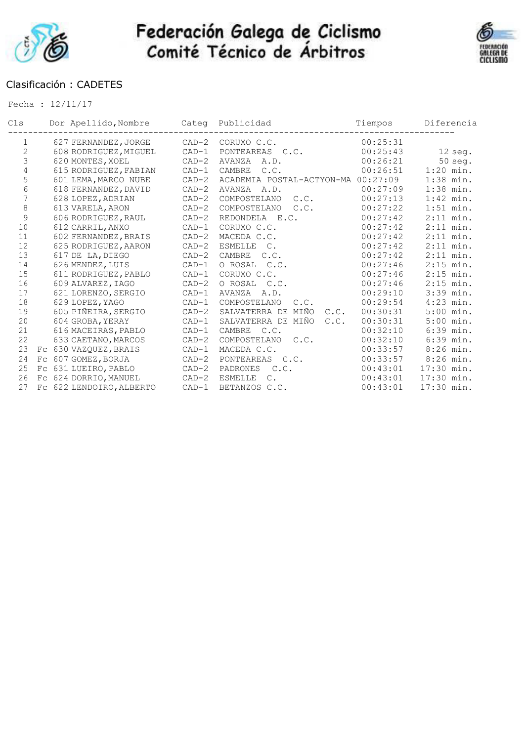



### Clasificación : CADETES

| Cls            | Dor Apellido, Nombre     | Categ   | Publicidad                       | Tiempos  | Diferencia  |
|----------------|--------------------------|---------|----------------------------------|----------|-------------|
| $\mathbf{1}$   | 627 FERNANDEZ, JORGE     | $CAD-2$ | CORUXO C.C.                      | 00:25:31 |             |
| $\overline{2}$ | 608 RODRIGUEZ, MIGUEL    | $CAD-1$ | PONTEAREAS C.C.                  | 00:25:43 | 12 seg.     |
| 3              | 620 MONTES, XOEL         | $CAD-2$ | <b>AVANZA</b><br>A.D.            | 00:26:21 | $50$ seg.   |
| $\overline{4}$ | 615 RODRIGUEZ, FABIAN    | $CAD-1$ | CAMBRE<br>C.C.                   | 00:26:51 | $1:20$ min. |
| 5              | 601 LEMA, MARCO NUBE     | $CAD-2$ | ACADEMIA POSTAL-ACTYON-MA        | 00:27:09 | $1:38$ min. |
| 6              | 618 FERNANDEZ, DAVID     | $CAD-2$ | AVANZA<br>A.D.                   | 00:27:09 | $1:38$ min. |
| 7              | 628 LOPEZ, ADRIAN        | $CAD-2$ | COMPOSTELANO<br>C.C.             | 00:27:13 | $1:42$ min. |
| $\,8\,$        | 613 VARELA, ARON         | $CAD-2$ | COMPOSTELANO<br>C.C.             | 00:27:22 | $1:51$ min. |
| 9              | 606 RODRIGUEZ, RAUL      | $CAD-2$ | REDONDELA E.C.                   | 00:27:42 | $2:11$ min. |
| 10             | 612 CARRIL, ANXO         | $CAD-1$ | CORUXO C.C.                      | 00:27:42 | $2:11$ min. |
| 11             | 602 FERNANDEZ, BRAIS     | $CAD-2$ | MACEDA C.C.                      | 00:27:42 | $2:11$ min. |
| 12             | 625 RODRIGUEZ, AARON     | $CAD-2$ | <b>ESMELLE</b><br>$\mathbb{C}$ . | 00:27:42 | $2:11$ min. |
| 13             | 617 DE LA, DIEGO         | $CAD-2$ | CAMBRE<br>C.C.                   | 00:27:42 | $2:11$ min. |
| 14             | 626 MENDEZ, LUIS         | $CAD-1$ | O ROSAL C.C.                     | 00:27:46 | $2:15$ min. |
| 15             | 611 RODRIGUEZ, PABLO     | $CAD-1$ | CORUXO C.C.                      | 00:27:46 | $2:15$ min. |
| 16             | 609 ALVAREZ, IAGO        | $CAD-2$ | O ROSAL<br>C.C.                  | 00:27:46 | $2:15$ min. |
| 17             | 621 LORENZO, SERGIO      | $CAD-1$ | AVANZA<br>A.D.                   | 00:29:10 | 3:39 min.   |
| 18             | 629 LOPEZ, YAGO          | $CAD-1$ | COMPOSTELANO<br>C.C.             | 00:29:54 | $4:23$ min. |
| 19             | 605 PIÑEIRA, SERGIO      | $CAD-2$ | SALVATERRA DE<br>MIÑO<br>C.C.    | 00:30:31 | $5:00$ min. |
| 20             | 604 GROBA, YERAY         | $CAD-1$ | SALVATERRA DE MIÑO<br>C.C.       | 00:30:31 | $5:00$ min. |
| 21             | 616 MACEIRAS, PABLO      | $CAD-1$ | <b>CAMBRE</b><br>C.C.            | 00:32:10 | $6:39$ min. |
| 22             | 633 CAETANO, MARCOS      | $CAD-2$ | COMPOSTELANO<br>C.C.             | 00:32:10 | $6:39$ min. |
| 23             | Fc 630 VAZQUEZ, BRAIS    | $CAD-1$ | MACEDA C.C.                      | 00:33:57 | $8:26$ min. |
| 24             | Fc 607 GOMEZ, BORJA      | $CAD-2$ | PONTEAREAS C.C.                  | 00:33:57 | $8:26$ min. |
| 25             | FC 631 LUEIRO, PABLO     | $CAD-2$ | C.C.<br>PADRONES                 | 00:43:01 | 17:30 min.  |
| 26             | Fc 624 DORRIO, MANUEL    | $CAD-2$ | <b>ESMELLE</b><br>$\mathsf{C}$ . | 00:43:01 | 17:30 min.  |
| 27             | FC 622 LENDOIRO, ALBERTO | $CAD-1$ | BETANZOS C.C.                    | 00:43:01 | 17:30 min.  |
|                |                          |         |                                  |          |             |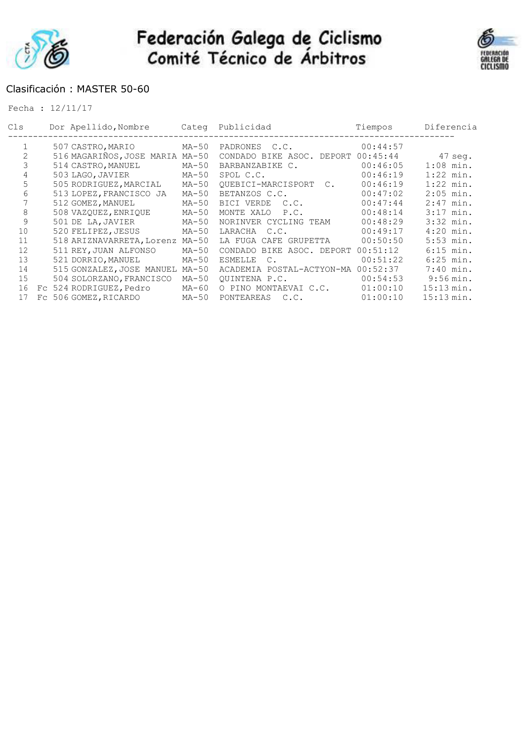



### Clasificación : MASTER 50-60

| Cls | Dor Apellido, Nombre      | Categ   | Publicidad                       | Tiempos  | Diferencia          |
|-----|---------------------------|---------|----------------------------------|----------|---------------------|
|     | 507 CASTRO, MARIO         | MA-50   | PADRONES C.C.                    | 00:44:57 |                     |
| 2   | 516 MAGARIÑOS, JOSE MARIA | $MA-50$ | CONDADO BIKE ASOC.<br>DEPORT     | 00:45:44 | $47$ seg.           |
| 3   | 514 CASTRO, MANUEL        | $MA-50$ | BARBANZABIKE C.                  | 00:46:05 | $1:08$ min.         |
| 4   | 503 LAGO, JAVIER          | MA-50   | SPOL C.C.                        | 00:46:19 | $1:22$ min.         |
| 5   | 505 RODRIGUEZ, MARCIAL    | $MA-50$ | OUEBICI-MARCISPORT<br>$C$ .      | 00:46:19 | $1:22$ min.         |
| 6   | 513 LOPEZ, FRANCISCO JA   | MA-50   | BETANZOS C.C.                    | 00:47:02 | $2:05$ min.         |
|     | 512 GOMEZ, MANUEL         | MA-50   | BICI VERDE<br>C.C.               | 00:47:44 | $2:47$ min.         |
| 8   | 508 VAZOUEZ, ENRIOUE      | MA-50   | MONTE XALO<br>P.C.               | 00:48:14 | $3:17$ min.         |
| 9   | 501 DE LA, JAVIER         | MA-50   | NORINVER CYCLING TEAM            | 00:48:29 | $3:32$ min.         |
| 10  | 520 FELIPEZ, JESUS        | MA-50   | LARACHA<br>C.C.                  | 00:49:17 | $4:20$ min.         |
| 11  | 518 ARIZNAVARRETA, Lorenz | $MA-50$ | LA FUGA CAFE GRUPETTA            | 00:50:50 | $5:53$ min.         |
| 12  | 511 REY, JUAN ALFONSO     | $MA-50$ | CONDADO BIKE ASOC. DEPORT        | 00:51:12 | $6:15$ min.         |
| 13  | 521 DORRIO, MANUEL        | $MA-50$ | <b>ESMELLE</b><br>$\mathsf{C}$ . | 00:51:22 | $6:25$ min.         |
| 14  | 515 GONZALEZ, JOSE MANUEL | $MA-50$ | ACADEMIA POSTAL-ACTYON-MA        | 00:52:37 | $7:40$ min.         |
| 15  | 504 SOLORZANO, FRANCISCO  | $MA-50$ | OUINTENA P.C.                    | 00:54:53 | $9:56 \text{ min.}$ |
| 16  | Fc 524 RODRIGUEZ, Pedro   | MA-60   | O PINO MONTAEVAI C.C.            | 01:00:10 | 15:13 min.          |
| 17  | Fc 506 GOMEZ, RICARDO     | $MA-50$ | PONTEAREAS<br>C.C.               | 01:00:10 | 15:13 min.          |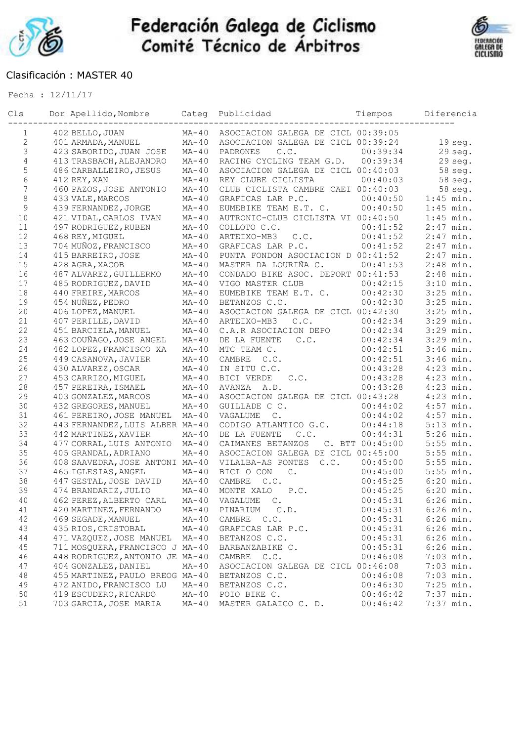



### Clasificación : MASTER 40

| Cls            | Dor Apellido, Nombre Categ      | . _ _ _ _ _ _ _ _ _ _ _ _ _ _ | Publicidad                         | Tiempos           | Diferencia  |
|----------------|---------------------------------|-------------------------------|------------------------------------|-------------------|-------------|
| 1              | 402 BELLO, JUAN                 | $MA-40$                       | ASOCIACION GALEGA DE CICL 00:39:05 |                   |             |
| $\mathbf{2}$   | 401 ARMADA, MANUEL              | $MA-40$                       | ASOCIACION GALEGA DE CICL 00:39:24 |                   | $19$ seq.   |
| $\mathfrak{Z}$ | 423 SABORIDO, JUAN JOSE         | $MA-40$                       | C.C.<br>PADRONES                   | 00:39:34          | $29$ seg.   |
| $\overline{4}$ | 413 TRASBACH, ALEJANDRO         | $MA-40$                       | RACING CYCLING TEAM G.D.           | 00:39:34          | $29$ seg.   |
| 5              | 486 CARBALLEIRO, JESUS          | $MA-40$                       | ASOCIACION GALEGA DE CICL 00:40:03 |                   | 58 seg.     |
| 6              | 412 REY, XAN                    | $MA-40$                       | REY CLUBE CICLISTA                 | 00:40:03          | 58 seg.     |
| $\overline{7}$ | 460 PAZOS, JOSE ANTONIO         | $MA-40$                       | CLUB CICLISTA CAMBRE CAEI 00:40:03 |                   | 58 seg.     |
| $\,8\,$        | 433 VALE, MARCOS                | $MA-40$                       | GRAFICAS LAR P.C.                  | 00:40:50          | $1:45$ min. |
| $\mathsf 9$    | 439 FERNANDEZ, JORGE            | $MA-40$                       | EUMEBIKE TEAM E.T. C.              | 00:40:50          | $1:45$ min. |
| 10             | 421 VIDAL, CARLOS IVAN          | $MA-40$                       | AUTRONIC-CLUB CICLISTA VI 00:40:50 |                   | $1:45$ min. |
| 11             | 497 RODRIGUEZ, RUBEN            | $MA-40$                       | COLLOTO C.C.                       | 00:41:52          | $2:47$ min. |
| 12             | 468 REY, MIGUEL                 | $MA-40$                       | ARTEIXO-MB3<br>C.C.                | 00:41:52          | $2:47$ min. |
| 13             | 704 MUÑOZ, FRANCISCO            | $MA-40$                       | GRAFICAS LAR P.C.                  | 00:41:52          | $2:47$ min. |
| 14             | 415 BARREIRO, JOSE              | $MA-40$                       | PUNTA FONDON ASOCIACION D 00:41:52 |                   | $2:47$ min. |
| 15             | 428 AGRA, XACOB                 | $MA-40$                       | MASTER DA LOURIÑA C.               | 00:41:53          | $2:48$ min. |
| 16             | 487 ALVAREZ, GUILLERMO          | $MA-40$                       | CONDADO BIKE ASOC. DEPORT 00:41:53 |                   | $2:48$ min. |
| 17             | 485 RODRIGUEZ, DAVID            | $MA-40$                       | VIGO MASTER CLUB                   | 00:42:15          | $3:10$ min. |
| 18             | 440 FREIRE, MARCOS              | $MA-40$                       | EUMEBIKE TEAM E.T. C.              | 00:42:30          | $3:25$ min. |
| 19             | 454 NUÑEZ, PEDRO                | $MA-40$                       | BETANZOS C.C.                      | 00:42:30          | $3:25$ min. |
| 20             | 406 LOPEZ, MANUEL               | $MA-40$                       | ASOCIACION GALEGA DE CICL 00:42:30 |                   | $3:25$ min. |
| 21             | 407 PERILLE, DAVID              | $MA-40$                       | ARTEIXO-MB3<br>C.C.                | 00:42:34          | 3:29 min.   |
| 22             | 451 BARCIELA, MANUEL            | $MA-40$                       | C.A.R ASOCIACION DEPO              | 00:42:34          | 3:29 min.   |
| 23             | 463 COUÑAGO, JOSE ANGEL         | $MA-40$                       | C.C.<br>DE LA FUENTE               | 00:42:34          | 3:29 min.   |
| 24             | 482 LOPEZ, FRANCISCO XA         | $MA-40$                       | MTC TEAM C.                        | 00:42:51          | $3:46$ min. |
| 25             | 449 CASANOVA, JAVIER            | $MA-40$                       | CAMBRE<br>C.C.                     | 00:42:51          | $3:46$ min. |
| 26             | 430 ALVAREZ, OSCAR              | $MA-40$                       | IN SITU C.C.                       | 00:43:28          | $4:23$ min. |
| 27             | 453 CARRIZO, MIGUEL             | $MA-40$                       | BICI VERDE<br>C.C.                 | 00:43:28          | $4:23$ min. |
| 28             | 457 PEREIRA, ISMAEL             | $MA-40$                       | AVANZA A.D.                        | 00:43:28          | $4:23$ min. |
| 29             | 403 GONZALEZ, MARCOS            | $MA-40$                       | ASOCIACION GALEGA DE CICL 00:43:28 |                   | $4:23$ min. |
| 30             | 432 GREGORES, MANUEL            | $MA-40$                       | GUILLADE C C.                      | 00:44:02          | $4:57$ min. |
| 31             | 461 PEREIRO, JOSE MANUEL MA-40  |                               | $\mathbb{C}$ .<br>VAGALUME         | 00:44:02          | $4:57$ min. |
| 32             | 443 FERNANDEZ, LUIS ALBER MA-40 |                               | CODIGO ATLANTICO G.C.              | 00:44:18          | $5:13$ min. |
| 33             | 442 MARTINEZ, XAVIER            | $MA-40$                       | DE LA FUENTE<br>C.C.               | 00:44:31          | $5:26$ min. |
| 34             | 477 CORRAL, LUIS ANTONIO        | $MA-40$                       | CAIMANES BETANZOS                  | C. BTT $00:45:00$ | $5:55$ min. |
| 35             | 405 GRANDAL, ADRIANO            | $MA-40$                       | ASOCIACION GALEGA DE CICL 00:45:00 |                   | $5:55$ min. |
| 36             | 408 SAAVEDRA, JOSE ANTONI MA-40 |                               | C.C.<br>VILALBA-AS PONTES          | 00:45:00          | $5:55$ min. |
| 37             | 465 IGLESIAS, ANGEL             | $MA-40$                       | BICI O CON<br>$\mathbb{C}$ .       | 00:45:00          | $5:55$ min. |
| 38             | 447 GESTAL, JOSE DAVID          | $MA-40$                       | CAMBRE<br>C.C.                     | 00:45:25          | $6:20$ min. |
| 39             | 474 BRANDARIZ, JULIO            | $MA-40$                       | MONTE XALO<br>P.C.                 | 00:45:25          | $6:20$ min. |
| 40             | 462 PEREZ, ALBERTO CARL         | $MA-40$                       | VAGALUME<br>$\mathbb{C}$ .         | 00:45:31          | $6:26$ min. |
| 41             | 420 MARTINEZ, FERNANDO          | $MA-40$                       | PINARIUM<br>C.D.                   | 00:45:31          | $6:26$ min. |
| 42             | 469 SEGADE, MANUEL              | $MA-40$                       | CAMBRE C.C.                        | 00:45:31          | $6:26$ min. |
| 43             | 435 RIOS, CRISTOBAL             | $MA-40$                       | GRAFICAS LAR P.C.                  | 00:45:31          | $6:26$ min. |
| 44             | 471 VAZQUEZ, JOSE MANUEL        | $MA-40$                       | BETANZOS C.C.                      | 00:45:31          | $6:26$ min. |
| 45             | 711 MOSQUERA, FRANCISCO J MA-40 |                               | BARBANZABIKE C.                    | 00:45:31          | $6:26$ min. |
| 46             | 448 RODRIGUEZ, ANTONIO JE MA-40 |                               | CAMBRE<br>C.C.                     | 00:46:08          | $7:03$ min. |
| 47             | 404 GONZALEZ, DANIEL            | $MA-40$                       | ASOCIACION GALEGA DE CICL 00:46:08 |                   | $7:03$ min. |
| $4\,8$         | 455 MARTINEZ, PAULO BREOG MA-40 |                               | BETANZOS C.C.                      | 00:46:08          | $7:03$ min. |
| 49             | 472 ANIDO, FRANCISCO LU         | $MA-40$                       | BETANZOS C.C.                      | 00:46:30          | $7:25$ min. |
| 50             | 419 ESCUDERO, RICARDO           | $MA-40$                       | POIO BIKE C.                       | 00:46:42          | $7:37$ min. |
| 51             | 703 GARCIA, JOSE MARIA          | $MA-40$                       | MASTER GALAICO C. D.               | 00:46:42          | $7:37$ min. |
|                |                                 |                               |                                    |                   |             |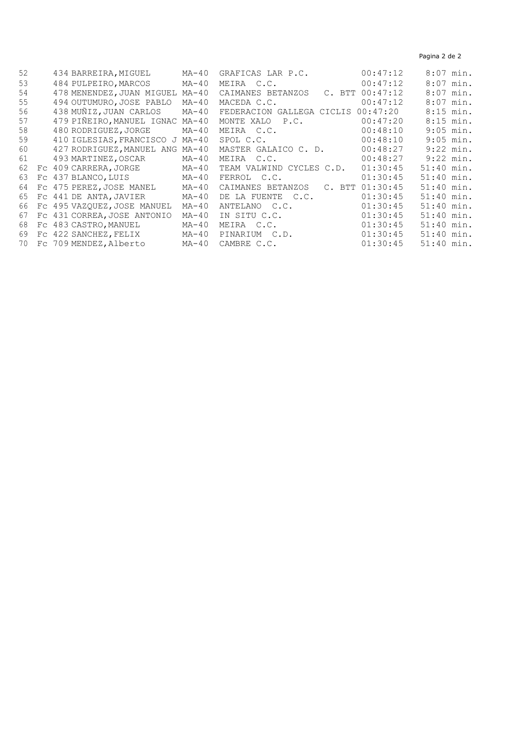Pagina 2 de 2

| 52 |    | 434 BARREIRA, MIGUEL        | $MA-40$ | GRAFICAS LAR P.C.         | 00:47:12            | $8:07$ min.  |
|----|----|-----------------------------|---------|---------------------------|---------------------|--------------|
| 53 |    | 484 PULPEIRO, MARCOS        | MA-40   | MEIRA C.C.                | 00:47:12            | $8:07$ min.  |
| 54 |    | 478 MENENDEZ, JUAN MIGUEL   | MA-40   | CAIMANES BETANZOS         | $C.$ BTT $00:47:12$ | $8:07$ min.  |
| 55 |    | 494 OUTUMURO, JOSE PABLO    | MA-40   | MACEDA C.C.               | 00:47:12            | $8:07$ min.  |
| 56 |    | 438 MUÑIZ, JUAN CARLOS      | $MA-40$ | FEDERACION GALLEGA CICLIS | 00:47:20            | $8:15$ min.  |
| 57 |    | 479 PIÑEIRO, MANUEL IGNAC   | MA-40   | MONTE XALO<br>P.C.        | 00:47:20            | $8:15$ min.  |
| 58 |    | 480 RODRIGUEZ, JORGE        | MA-40   | MEIRA C.C.                | 00:48:10            | $9:05$ min.  |
| 59 |    | 410 IGLESIAS, FRANCISCO J   | MA-40   | SPOL C.C.                 | 00:48:10            | $9:05$ min.  |
| 60 |    | 427 RODRIGUEZ, MANUEL ANG   | MA-40   | MASTER GALAICO C. D.      | 00:48:27            | $9:22$ min.  |
| 61 |    | 493 MARTINEZ, OSCAR         | MA-40   | MEIRA C.C.                | 00:48:27            | $9:22$ min.  |
| 62 | Fc | 409 CARRERA, JORGE          | MA-40   | TEAM VALWIND CYCLES C.D.  | 01:30:45            | $51:40$ min. |
| 63 |    | FC 437 BLANCO, LUIS         | MA-40   | FERROL C.C.               | 01:30:45            | $51:40$ min. |
| 64 |    | FC 475 PEREZ, JOSE MANEL    | $MA-40$ | CAIMANES BETANZOS         | $C.$ BTT $01:30:45$ | 51:40 min.   |
| 65 |    | FC 441 DE ANTA, JAVIER      | $MA-40$ | DE LA FUENTE C.C.         | 01:30:45            | 51:40 min.   |
| 66 |    | FC 495 VAZOUEZ, JOSE MANUEL | $MA-40$ | ANTELANO C.C.             | 01:30:45            | 51:40 min.   |
| 67 |    | FC 431 CORREA, JOSE ANTONIO | $MA-40$ | IN SITU C.C.              | 01:30:45            | $51:40$ min. |
| 68 |    | FC 483 CASTRO, MANUEL       | $MA-40$ | MEIRA C.C.                | 01:30:45            | 51:40 min.   |
| 69 |    | FC 422 SANCHEZ, FELIX       | MA-40   | PINARIUM C.D.             | 01:30:45            | $51:40$ min. |
| 70 |    | Fc 709 MENDEZ, Alberto      | MA-40   | CAMBRE C.C.               | 01:30:45            | $51:40$ min. |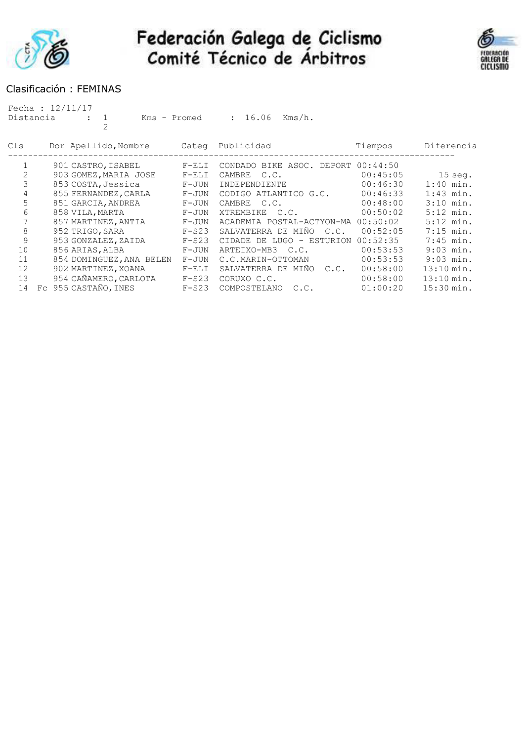



### Clasificación : FEMINAS

| Distancia | Fecha : $12/11/17$<br>Kms - Promed<br>$\overline{2}$ |         | 16.06<br>$Kms/h$ .<br>$\mathbf{L}$                        |          |                      |
|-----------|------------------------------------------------------|---------|-----------------------------------------------------------|----------|----------------------|
| Cls       | Dor Apellido, Nombre                                 | Categ   | Publicidad                                                | Tiempos  | Diferencia           |
|           | 901 CASTRO, ISABEL                                   | $F-ELI$ | CONDADO BIKE ASOC.<br>DEPORT                              | 00:44:50 |                      |
| 2         | 903 GOMEZ, MARIA JOSE                                | $F-ELI$ | C.C.<br>CAMBRE                                            | 00:45:05 | $15$ seg.            |
| 3         | 853 COSTA, Jessica                                   | $F-JUN$ | INDEPENDIENTE                                             | 00:46:30 | $1:40$ min.          |
| 4         | 855 FERNANDEZ, CARLA                                 | $F-JUN$ | CODIGO ATLANTICO G.C.                                     | 00:46:33 | $1:43$ min.          |
| 5         | 851 GARCIA, ANDREA                                   | $F-JUN$ | CAMBRE<br>C.C.                                            | 00:48:00 | $3:10$ min.          |
| 6         | 858 VILA, MARTA                                      | $F-JUN$ | XTREMBIKE<br>C.C.                                         | 00:50:02 | $5:12$ min.          |
| 7         | 857 MARTINEZ, ANTIA                                  | $F-JUN$ | ACADEMIA POSTAL-ACTYON-MA                                 | 00:50:02 | $5:12$ min.          |
| 8         | 952 TRIGO, SARA                                      | $F-S23$ | SALVATERRA DE MIÑO<br>C.C.                                | 00:52:05 | $7:15$ min.          |
| 9         | 953 GONZALEZ, ZAIDA                                  | $F-S23$ | CIDADE<br>DE LUGO<br>ESTURION<br>$\overline{\phantom{a}}$ | 00:52:35 | $7:45$ min.          |
| 10        | 856 ARIAS, ALBA                                      | $F-JUN$ | ARTEIXO-MB3 C.C.                                          | 00:53:53 | $9:03$ min.          |
| 11        | 854 DOMINGUEZ, ANA BELEN                             | $F-JUN$ | C.C.MARIN-OTTOMAN                                         | 00:53:53 | $9:03$ min.          |
| 12        | 902 MARTINEZ, XOANA                                  | $F-ELI$ | SALVATERRA DE MIÑO<br>C.C.                                | 00:58:00 | $13:10 \text{ min.}$ |
| 13        | 954 CAÑAMERO, CARLOTA                                | $F-S23$ | CORUXO C.C.                                               | 00:58:00 | $13:10 \text{ min.}$ |
| 14        | Fc 955 CASTAÑO, INES                                 | $F-S23$ | COMPOSTELANO<br>C.C.                                      | 01:00:20 | 15:30 min.           |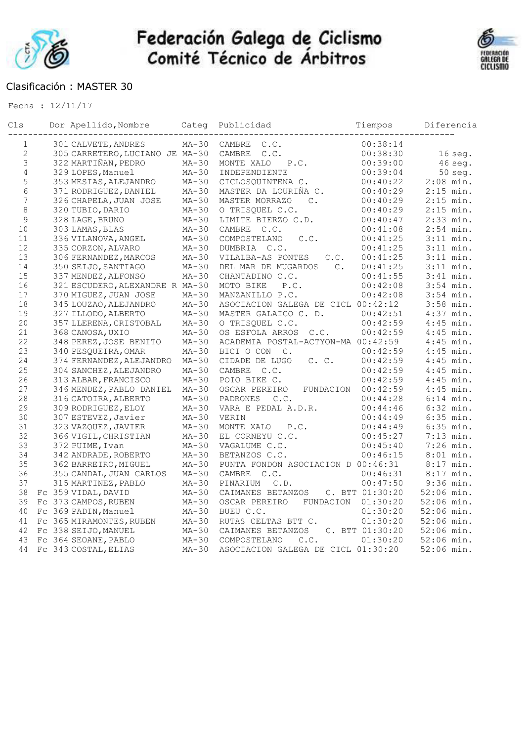



#### Clasificación : MASTER 30

| Cls            | Dor Apellido, Nombre            | Categ   | Publicidad                            | Tiempos           | Diferencia   |
|----------------|---------------------------------|---------|---------------------------------------|-------------------|--------------|
| $\mathbf 1$    | 301 CALVETE, ANDRES             | $MA-30$ | CAMBRE<br>C.C.                        | 00:38:14          |              |
| $\overline{c}$ | 305 CARRETERO, LUCIANO JE MA-30 |         | CAMBRE<br>C.C.                        | 00:38:30          | $16$ seg.    |
| $\mathfrak{Z}$ | 322 MARTIÑAN, PEDRO             | $MA-30$ | MONTE XALO<br>P.C.                    | 00:39:00          | $46$ seq.    |
| $\overline{4}$ | 329 LOPES, Manuel               | $MA-30$ | INDEPENDIENTE                         | 00:39:04          | $50$ seg.    |
| 5              | 353 MESIAS, ALEJANDRO           | $MA-30$ | CICLOSQUINTENA C.                     | 00:40:22          | $2:08$ min.  |
| 6              | 371 RODRIGUEZ, DANIEL           | $MA-30$ | MASTER DA LOURIÑA C.                  | 00:40:29          | $2:15$ min.  |
| $\overline{7}$ | 326 CHAPELA, JUAN JOSE          | $MA-30$ | $C_{\bullet}$<br>MASTER MORRAZO       | 00:40:29          | $2:15$ min.  |
| $\,8\,$        | 320 TUBIO, DARIO                | $MA-30$ | O TRISQUEL C.C.                       | 00:40:29          | $2:15$ min.  |
| $\mathsf 9$    | 328 LAGE, BRUNO                 | $MA-30$ | LIMITE BIERZO C.D.                    | 00:40:47          | $2:33$ min.  |
| 10             | 303 LAMAS, BLAS                 | $MA-30$ | CAMBRE C.C.                           | 00:41:08          | $2:54$ min.  |
| 11             | 336 VILANOVA, ANGEL             | $MA-30$ | C.C.<br>COMPOSTELANO                  | 00:41:25          | $3:11$ min.  |
| 12             | 335 CORZON, ALVARO              | $MA-30$ | DUMBRIA C.C.                          | 00:41:25          | $3:11$ min.  |
| 13             | 306 FERNANDEZ, MARCOS           | $MA-30$ | VILALBA-AS PONTES<br>C.C.             | 00:41:25          | $3:11$ min.  |
| 14             | 350 SEIJO, SANTIAGO             | $MA-30$ | DEL MAR DE MUGARDOS<br>$\mathbb{C}$ . | 00:41:25          | $3:11$ min.  |
| 15             | 337 MENDEZ, ALFONSO             | $MA-30$ | CHANTADINO C.C.                       | 00:41:55          | $3:41$ min.  |
| 16             | 321 ESCUDERO, ALEXANDRE R MA-30 |         | MOTO BIKE<br>P.C.                     | 00:42:08          | $3:54$ min.  |
| 17             | 370 MIGUEZ, JUAN JOSE           | $MA-30$ | MANZANILLO P.C.                       | 00:42:08          | $3:54$ min.  |
| 18             | 345 LOUZAO, ALEJANDRO           | $MA-30$ | ASOCIACION GALEGA DE CICL 00:42:12    |                   | 3:58 min.    |
| 19             | 327 ILLODO, ALBERTO             | $MA-30$ | MASTER GALAICO C. D.                  | 00:42:51          | $4:37$ min.  |
| $20$           | 357 LLERENA, CRISTOBAL          | $MA-30$ | O TRISQUEL C.C.                       | 00:42:59          | $4:45$ min.  |
| 21             | 368 CANOSA, UXIO                | $MA-30$ | OS ESFOLA ARROS C.C.                  | 00:42:59          | $4:45$ min.  |
| 22             | 348 PEREZ, JOSE BENITO          | $MA-30$ | ACADEMIA POSTAL-ACTYON-MA 00:42:59    |                   | $4:45$ min.  |
| 23             | 340 PESQUEIRA, OMAR             | $MA-30$ | BICI O CON C.                         | 00:42:59          | $4:45$ min.  |
| 24             | 374 FERNANDEZ, ALEJANDRO        | $MA-30$ | CIDADE DE LUGO<br>C. C.               | 00:42:59          | $4:45$ min.  |
| 25             | 304 SANCHEZ, ALEJANDRO          | $MA-30$ | CAMBRE<br>C.C.                        | 00:42:59          | $4:45$ min.  |
| 26             | 313 ALBAR, FRANCISCO            | $MA-30$ | POIO BIKE C.                          | 00:42:59          | $4:45$ min.  |
| 27             | 346 MENDEZ, PABLO DANIEL        | $MA-30$ | OSCAR PEREIRO<br>FUNDACION            | 00:42:59          | $4:45$ min.  |
| 28             | 316 CATOIRA, ALBERTO            | $MA-30$ | C.C.<br>PADRONES                      | 00:44:28          | $6:14$ min.  |
| 29             | 309 RODRIGUEZ, ELOY             | $MA-30$ | VARA E PEDAL A.D.R.                   | 00:44:46          | $6:32$ min.  |
| 30             | 307 ESTEVEZ, Javier             | $MA-30$ | VERIN                                 | 00:44:49          | $6:35$ min.  |
| 31             | 323 VAZQUEZ, JAVIER             | $MA-30$ | MONTE XALO<br>P.C.                    | 00:44:49          | $6:35$ min.  |
| 32             | 366 VIGIL, CHRISTIAN            | $MA-30$ | EL CORNEYU C.C.                       | 00:45:27          | $7:13$ min.  |
| 33             | 372 PUIME, Ivan                 | $MA-30$ | VAGALUME C.C.                         | 00:45:40          | $7:26$ min.  |
| 34             | 342 ANDRADE, ROBERTO            | $MA-30$ | BETANZOS C.C.                         | 00:46:15          | $8:01$ min.  |
| 35             | 362 BARREIRO, MIGUEL            | $MA-30$ | PUNTA FONDON ASOCIACION D 00:46:31    |                   | $8:17$ min.  |
| 36             | 355 CANDAL, JUAN CARLOS         | $MA-30$ | CAMBRE C.C.                           | 00:46:31          | $8:17$ min.  |
| 37             | 315 MARTINEZ, PABLO             | MA-30   | PINARIUM C.D.                         | 00:47:50          | $9:36$ min.  |
| 38             | Fc 359 VIDAL, DAVID             | $MA-30$ | CAIMANES BETANZOS                     | C. BTT $01:30:20$ | $52:06$ min. |
| 39             | Fc 373 CAMPOS, RUBEN            | $MA-30$ | OSCAR PEREIRO<br>FUNDACION            | 01:30:20          | 52:06 min.   |
| 40             | Fc 369 PADIN, Manuel            | $MA-30$ | BUEU C.C.                             | 01:30:20          | 52:06 min.   |
| 41             | FC 365 MIRAMONTES, RUBEN        | $MA-30$ | RUTAS CELTAS BTT C.                   | 01:30:20          | 52:06 min.   |
| 42             | FC 338 SEIJO, MANUEL            | $MA-30$ | CAIMANES BETANZOS                     | C. BTT 01:30:20   | 52:06 min.   |
| 43             | FC 364 SEOANE, PABLO            | $MA-30$ | COMPOSTELANO<br>C.C.                  | 01:30:20          | $52:06$ min. |
| 44             | FC 343 COSTAL, ELIAS            | $MA-30$ | ASOCIACION GALEGA DE CICL 01:30:20    |                   | 52:06 min.   |
|                |                                 |         |                                       |                   |              |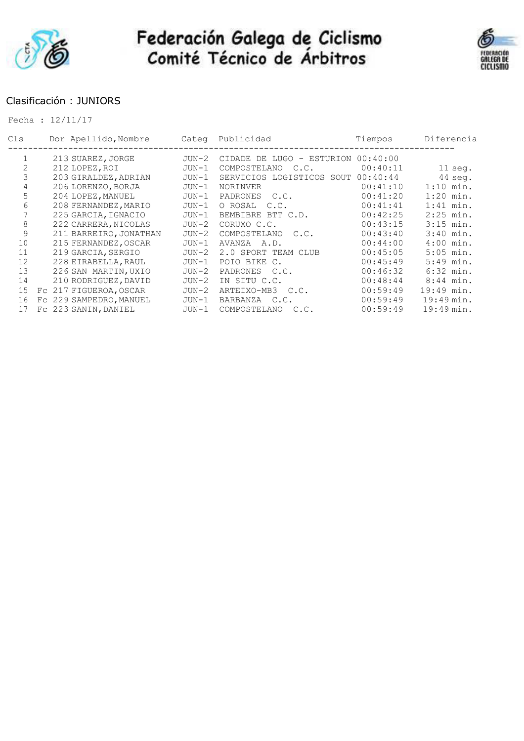



### Clasificación : JUNIORS

| Cls            | Dor Apellido, Nombre    | Categ   | Publicidad                | Tiempos  | Diferencia           |
|----------------|-------------------------|---------|---------------------------|----------|----------------------|
|                | 213 SUAREZ, JORGE       | $JUN-2$ | CIDADE DE LUGO - ESTURION | 00:40:00 |                      |
| $\overline{2}$ | 212 LOPEZ, ROI          | $JUN-1$ | COMPOSTELANO<br>C.C.      | 00:40:11 | $11$ seg.            |
| 3              | 203 GIRALDEZ, ADRIAN    | $JUN-1$ | SERVICIOS LOGISTICOS SOUT | 00:40:44 | 44 seg.              |
| 4              | 206 LORENZO, BORJA      | $JUN-1$ | <b>NORINVER</b>           | 00:41:10 | $1:10$ min.          |
| 5              | 204 LOPEZ, MANUEL       | $JUN-1$ | PADRONES C.C.             | 00:41:20 | $1:20$ min.          |
| 6              | 208 FERNANDEZ, MARIO    | $JUN-1$ | O ROSAL C.C.              | 00:41:41 | $1:41$ min.          |
|                | 225 GARCIA, IGNACIO     | $JUN-1$ | BEMBIBRE BTT C.D.         | 00:42:25 | $2:25$ min.          |
| 8              | 222 CARRERA, NICOLAS    | $JUN-2$ | CORUXO C.C.               | 00:43:15 | $3:15$ min.          |
| 9              | 211 BARREIRO, JONATHAN  | $JUN-2$ | COMPOSTELANO<br>C.C.      | 00:43:40 | $3:40$ min.          |
| 10             | 215 FERNANDEZ, OSCAR    | JUN-1   | AVANZA A.D.               | 00:44:00 | $4:00$ min.          |
| 11             | 219 GARCIA, SERGIO      | $JUN-2$ | 2.0 SPORT TEAM CLUB       | 00:45:05 | $5:05$ min.          |
| 12             | 228 EIRABELLA, RAUL     | $JUN-1$ | POIO BIKE C.              | 00:45:49 | 5:49 min.            |
| 13             | 226 SAN MARTIN, UXIO    | $JUN-2$ | PADRONES C.C.             | 00:46:32 | $6:32$ min.          |
| 14             | 210 RODRIGUEZ, DAVID    | $JUN-2$ | IN SITU C.C.              | 00:48:44 | $8:44$ min.          |
| 15             | Fc 217 FIGUEROA, OSCAR  | $JUN-2$ | ARTEIXO-MB3<br>C.C.       | 00:59:49 | 19:49 min.           |
| 16             | FC 229 SAMPEDRO, MANUEL | $JUN-1$ | BARBANZA C.C.             | 00:59:49 | 19:49 min.           |
| 17             | Fc 223 SANIN, DANIEL    | JUN-1   | COMPOSTELANO<br>C.C.      | 00:59:49 | $19:49 \text{ min.}$ |
|                |                         |         |                           |          |                      |